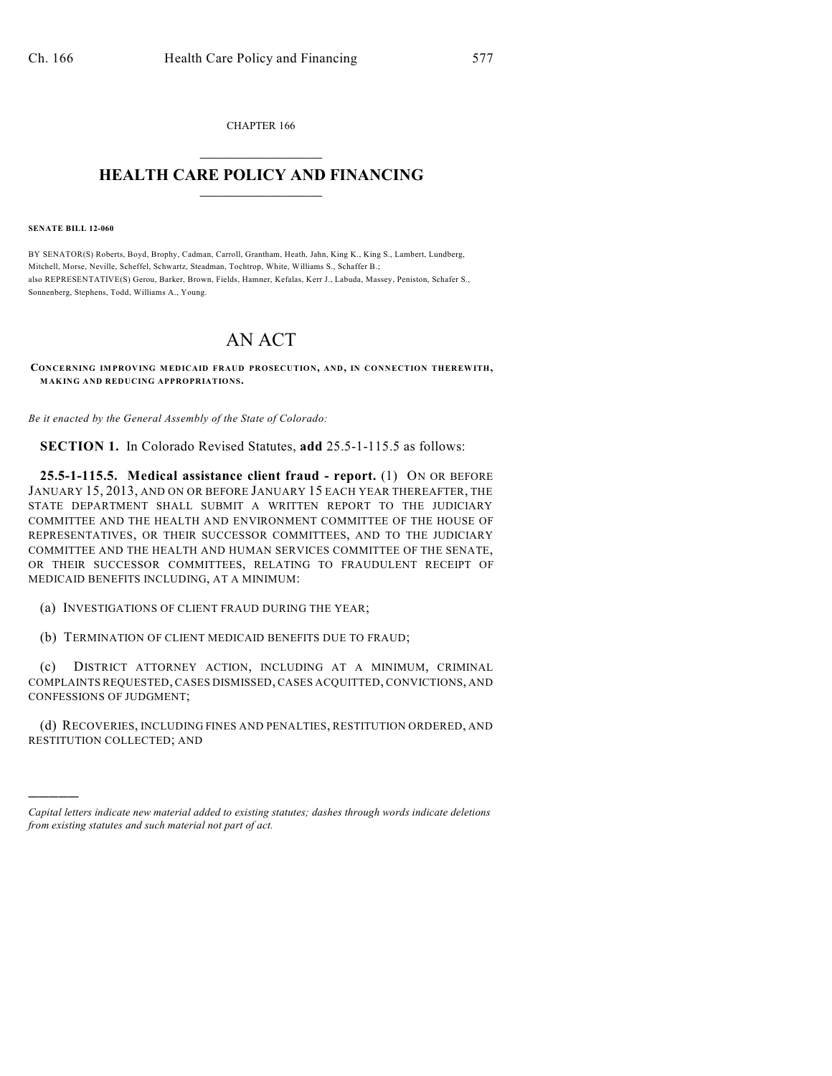CHAPTER 166  $\overline{\phantom{a}}$  . The set of the set of the set of the set of the set of the set of the set of the set of the set of the set of the set of the set of the set of the set of the set of the set of the set of the set of the set o

## **HEALTH CARE POLICY AND FINANCING**  $\_$   $\_$   $\_$   $\_$   $\_$   $\_$   $\_$   $\_$

**SENATE BILL 12-060**

)))))

BY SENATOR(S) Roberts, Boyd, Brophy, Cadman, Carroll, Grantham, Heath, Jahn, King K., King S., Lambert, Lundberg, Mitchell, Morse, Neville, Scheffel, Schwartz, Steadman, Tochtrop, White, Williams S., Schaffer B.; also REPRESENTATIVE(S) Gerou, Barker, Brown, Fields, Hamner, Kefalas, Kerr J., Labuda, Massey, Peniston, Schafer S., Sonnenberg, Stephens, Todd, Williams A., Young.

## AN ACT

**CONCERNING IMPROVING MEDICAID FRAUD PROSECUTION, AND, IN CONNECTION THEREWITH, MAKING AND REDUCING APPROPRIATIONS.**

*Be it enacted by the General Assembly of the State of Colorado:*

**SECTION 1.** In Colorado Revised Statutes, **add** 25.5-1-115.5 as follows:

**25.5-1-115.5. Medical assistance client fraud - report.** (1) ON OR BEFORE JANUARY 15, 2013, AND ON OR BEFORE JANUARY 15 EACH YEAR THEREAFTER, THE STATE DEPARTMENT SHALL SUBMIT A WRITTEN REPORT TO THE JUDICIARY COMMITTEE AND THE HEALTH AND ENVIRONMENT COMMITTEE OF THE HOUSE OF REPRESENTATIVES, OR THEIR SUCCESSOR COMMITTEES, AND TO THE JUDICIARY COMMITTEE AND THE HEALTH AND HUMAN SERVICES COMMITTEE OF THE SENATE, OR THEIR SUCCESSOR COMMITTEES, RELATING TO FRAUDULENT RECEIPT OF MEDICAID BENEFITS INCLUDING, AT A MINIMUM:

(a) INVESTIGATIONS OF CLIENT FRAUD DURING THE YEAR;

(b) TERMINATION OF CLIENT MEDICAID BENEFITS DUE TO FRAUD;

(c) DISTRICT ATTORNEY ACTION, INCLUDING AT A MINIMUM, CRIMINAL COMPLAINTS REQUESTED, CASES DISMISSED, CASES ACQUITTED, CONVICTIONS, AND CONFESSIONS OF JUDGMENT;

(d) RECOVERIES, INCLUDING FINES AND PENALTIES, RESTITUTION ORDERED, AND RESTITUTION COLLECTED; AND

*Capital letters indicate new material added to existing statutes; dashes through words indicate deletions from existing statutes and such material not part of act.*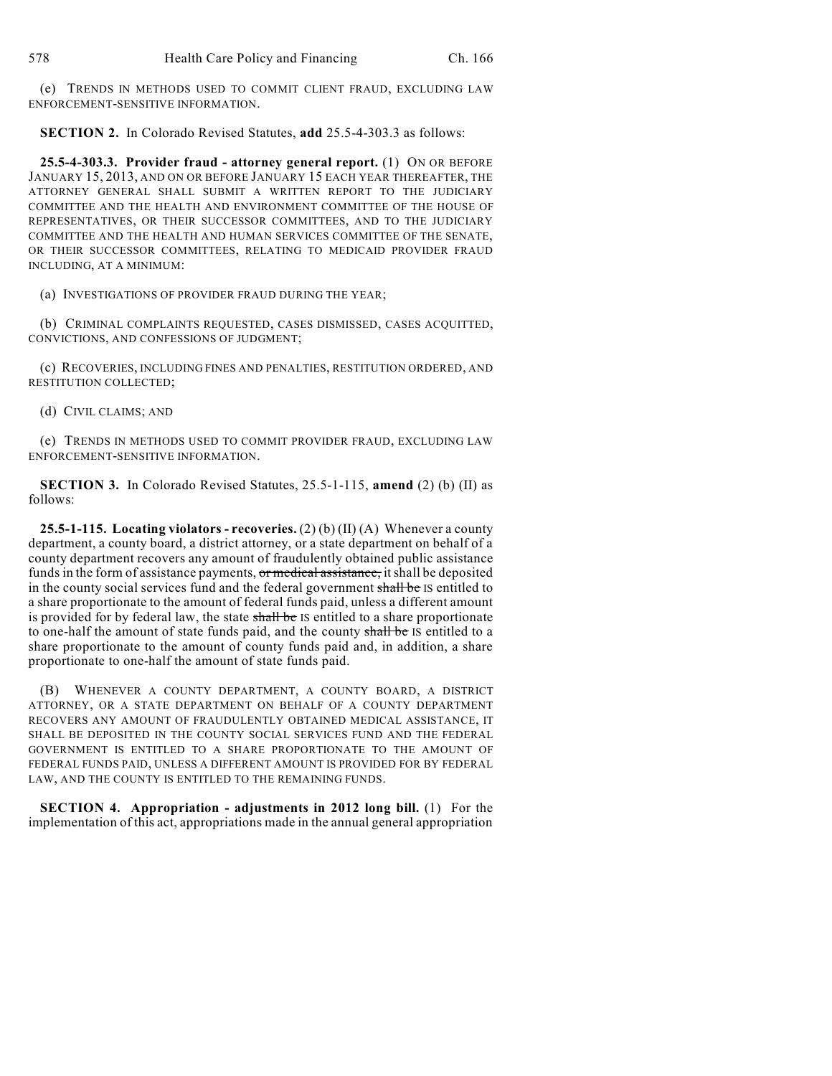(e) TRENDS IN METHODS USED TO COMMIT CLIENT FRAUD, EXCLUDING LAW ENFORCEMENT-SENSITIVE INFORMATION.

**SECTION 2.** In Colorado Revised Statutes, **add** 25.5-4-303.3 as follows:

**25.5-4-303.3. Provider fraud - attorney general report.** (1) ON OR BEFORE JANUARY 15, 2013, AND ON OR BEFORE JANUARY 15 EACH YEAR THEREAFTER, THE ATTORNEY GENERAL SHALL SUBMIT A WRITTEN REPORT TO THE JUDICIARY COMMITTEE AND THE HEALTH AND ENVIRONMENT COMMITTEE OF THE HOUSE OF REPRESENTATIVES, OR THEIR SUCCESSOR COMMITTEES, AND TO THE JUDICIARY COMMITTEE AND THE HEALTH AND HUMAN SERVICES COMMITTEE OF THE SENATE, OR THEIR SUCCESSOR COMMITTEES, RELATING TO MEDICAID PROVIDER FRAUD INCLUDING, AT A MINIMUM:

(a) INVESTIGATIONS OF PROVIDER FRAUD DURING THE YEAR;

(b) CRIMINAL COMPLAINTS REQUESTED, CASES DISMISSED, CASES ACQUITTED, CONVICTIONS, AND CONFESSIONS OF JUDGMENT;

(c) RECOVERIES, INCLUDING FINES AND PENALTIES, RESTITUTION ORDERED, AND RESTITUTION COLLECTED;

(d) CIVIL CLAIMS; AND

(e) TRENDS IN METHODS USED TO COMMIT PROVIDER FRAUD, EXCLUDING LAW ENFORCEMENT-SENSITIVE INFORMATION.

**SECTION 3.** In Colorado Revised Statutes, 25.5-1-115, **amend** (2) (b) (II) as follows:

**25.5-1-115. Locating violators - recoveries.** (2) (b) (II) (A) Whenever a county department, a county board, a district attorney, or a state department on behalf of a county department recovers any amount of fraudulently obtained public assistance funds in the form of assistance payments, or medical assistance, it shall be deposited in the county social services fund and the federal government shall be IS entitled to a share proportionate to the amount of federal funds paid, unless a different amount is provided for by federal law, the state shall be IS entitled to a share proportionate to one-half the amount of state funds paid, and the county shall be IS entitled to a share proportionate to the amount of county funds paid and, in addition, a share proportionate to one-half the amount of state funds paid.

(B) WHENEVER A COUNTY DEPARTMENT, A COUNTY BOARD, A DISTRICT ATTORNEY, OR A STATE DEPARTMENT ON BEHALF OF A COUNTY DEPARTMENT RECOVERS ANY AMOUNT OF FRAUDULENTLY OBTAINED MEDICAL ASSISTANCE, IT SHALL BE DEPOSITED IN THE COUNTY SOCIAL SERVICES FUND AND THE FEDERAL GOVERNMENT IS ENTITLED TO A SHARE PROPORTIONATE TO THE AMOUNT OF FEDERAL FUNDS PAID, UNLESS A DIFFERENT AMOUNT IS PROVIDED FOR BY FEDERAL LAW, AND THE COUNTY IS ENTITLED TO THE REMAINING FUNDS.

**SECTION 4. Appropriation - adjustments in 2012 long bill.** (1) For the implementation of this act, appropriations made in the annual general appropriation